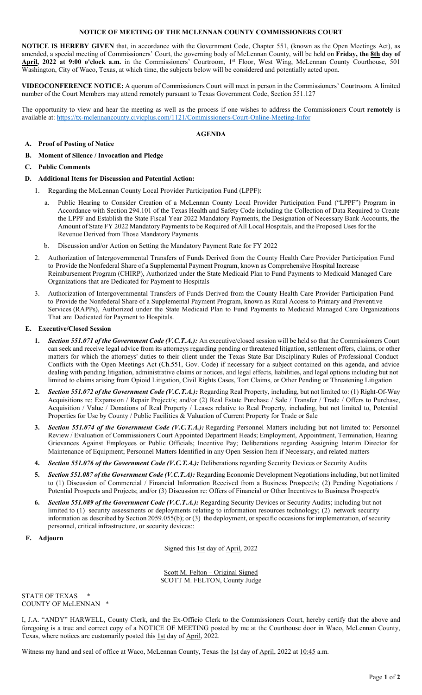### **NOTICE OF MEETING OF THE MCLENNAN COUNTY COMMISSIONERS COURT**

**NOTICE IS HEREBY GIVEN** that, in accordance with the Government Code, Chapter 551, (known as the Open Meetings Act), as amended, a special meeting of Commissioners' Court, the governing body of McLennan County, will be held on **Friday, the 8th day of**  April, 2022 at 9:00 o'clock a.m. in the Commissioners' Courtroom, 1<sup>st</sup> Floor, West Wing, McLennan County Courthouse, 501 Washington, City of Waco, Texas, at which time, the subjects below will be considered and potentially acted upon.

**VIDEOCONFERENCE NOTICE:** A quorum of Commissioners Court will meet in person in the Commissioners' Courtroom. A limited number of the Court Members may attend remotely pursuant to Texas Government Code, Section 551.127

The opportunity to view and hear the meeting as well as the process if one wishes to address the Commissioners Court **remotely** is available at[: https://tx-mclennancounty.civicplus.com/1121/Commissioners-Court-Online-Meeting-Infor](https://tx-mclennancounty.civicplus.com/1121/Commissioners-Court-Online-Meeting-Infor)

#### **AGENDA**

## **A. Proof of Posting of Notice**

**B. Moment of Silence / Invocation and Pledge**

### **C. Public Comments**

### **D. Additional Items for Discussion and Potential Action:**

- 1. Regarding the McLennan County Local Provider Participation Fund (LPPF):
	- Public Hearing to Consider Creation of a McLennan County Local Provider Participation Fund ("LPPF") Program in Accordance with Section 294.101 of the Texas Health and Safety Code including the Collection of Data Required to Create the LPPF and Establish the State Fiscal Year 2022 Mandatory Payments, the Designation of Necessary Bank Accounts, the Amount of State FY 2022 Mandatory Payments to be Required of All Local Hospitals, and the Proposed Uses for the Revenue Derived from Those Mandatory Payments.
	- b. Discussion and/or Action on Setting the Mandatory Payment Rate for FY 2022
- 2. Authorization of Intergovernmental Transfers of Funds Derived from the County Health Care Provider Participation Fund to Provide the Nonfederal Share of a Supplemental Payment Program, known as Comprehensive Hospital Increase Reimbursement Program (CHIRP), Authorized under the State Medicaid Plan to Fund Payments to Medicaid Managed Care Organizations that are Dedicated for Payment to Hospitals
- 3. Authorization of Intergovernmental Transfers of Funds Derived from the County Health Care Provider Participation Fund to Provide the Nonfederal Share of a Supplemental Payment Program, known as Rural Access to Primary and Preventive Services (RAPPs), Authorized under the State Medicaid Plan to Fund Payments to Medicaid Managed Care Organizations That are Dedicated for Payment to Hospitals.

### **E. Executive/Closed Session**

- **1.** *Section 551.071 of the Government Code (V.C.T.A.):* An executive/closed session will be held so that the Commissioners Court can seek and receive legal advice from its attorneys regarding pending or threatened litigation, settlement offers, claims, or other matters for which the attorneys' duties to their client under the Texas State Bar Disciplinary Rules of Professional Conduct Conflicts with the Open Meetings Act (Ch.551, Gov. Code) if necessary for a subject contained on this agenda, and advice dealing with pending litigation, administrative claims or notices, and legal effects, liabilities, and legal options including but not limited to claims arising from Opioid Litigation, Civil Rights Cases, Tort Claims, or Other Pending or Threatening Litigation
- **2.** *Section 551.072 of the Government Code (V.C.T.A.):* Regarding Real Property, including, but not limited to: (1) Right-Of-Way Acquisitions re: Expansion / Repair Project/s; and/or (2) Real Estate Purchase / Sale / Transfer / Trade / Offers to Purchase, Acquisition / Value / Donations of Real Property / Leases relative to Real Property, including, but not limited to, Potential Properties for Use by County / Public Facilities & Valuation of Current Property for Trade or Sale
- **3.** *Section 551.074 of the Government Code (V.C.T.A.):* Regarding Personnel Matters including but not limited to: Personnel Review / Evaluation of Commissioners Court Appointed Department Heads; Employment, Appointment, Termination, Hearing Grievances Against Employees or Public Officials; Incentive Pay; Deliberations regarding Assigning Interim Director for Maintenance of Equipment; Personnel Matters Identified in any Open Session Item if Necessary, and related matters
- **4.** *Section 551.076 of the Government Code (V.C.T.A.):* Deliberations regarding Security Devices or Security Audits
- **5.** *Section 551.087 of the Government Code (V.C.T.A):* Regarding Economic Development Negotiations including, but not limited to (1) Discussion of Commercial / Financial Information Received from a Business Prospect/s; (2) Pending Negotiations / Potential Prospects and Projects; and/or (3) Discussion re: Offers of Financial or Other Incentives to Business Prospect/s
- **6.** *Section 551.089 of the Government Code (V.C.T.A.):* Regarding Security Devices or Security Audits; including but not limited to (1) security assessments or deployments relating to information resources technology; (2) network security information as described by Section 2059.055(b); or (3) the deployment, or specific occasions for implementation, of security personnel, critical infrastructure, or security devices::
- **F. Adjourn**

Signed this 1st day of April, 2022

Scott M. Felton – Original Signed SCOTT M. FELTON, County Judge

STATE OF TEXAS COUNTY OF McLENNAN \*

I, J.A. "ANDY" HARWELL, County Clerk, and the Ex-Officio Clerk to the Commissioners Court, hereby certify that the above and foregoing is a true and correct copy of a NOTICE OF MEETING posted by me at the Courthouse door in Waco, McLennan County, Texas, where notices are customarily posted this 1st day of April, 2022.

Witness my hand and seal of office at Waco, McLennan County, Texas the 1st day of April, 2022 at 10:45 a.m.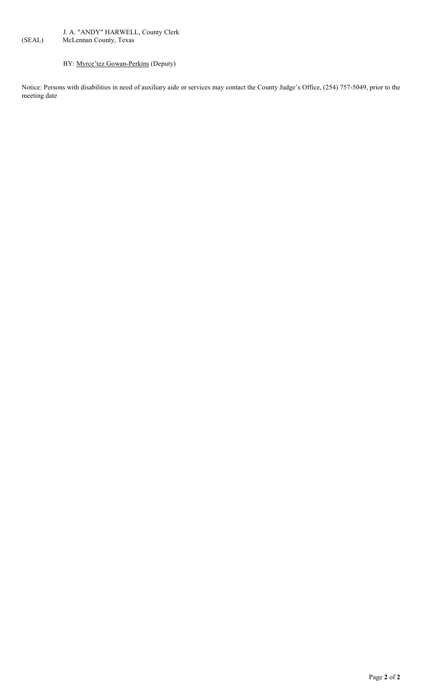# J. A. "ANDY" HARWELL, County Clerk<br>(SEAL) McLennan County, Texas McLennan County, Texas

# BY: Myrce'tez Gowan-Perkins (Deputy)

Notice: Persons with disabilities in need of auxiliary aide or services may contact the County Judge's Office, (254) 757-5049, prior to the meeting date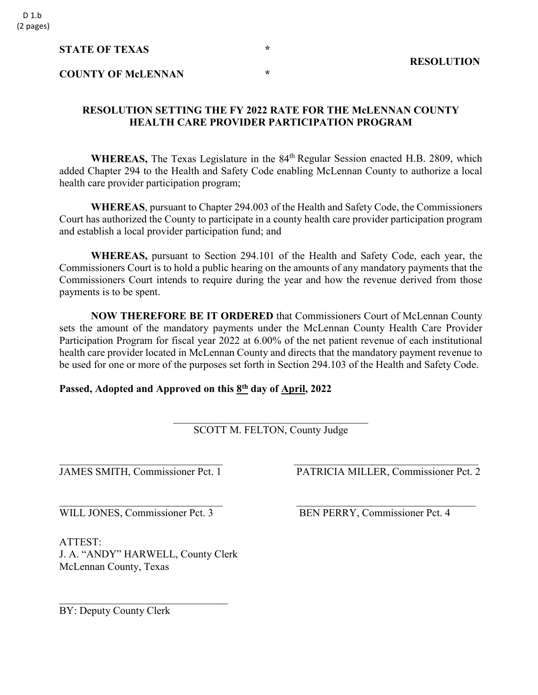## **STATE OF TEXAS** \* \*

# **COUNTY OF McLENNAN \***

## **RESOLUTION SETTING THE FY 2022 RATE FOR THE McLENNAN COUNTY HEALTH CARE PROVIDER PARTICIPATION PROGRAM**

WHEREAS, The Texas Legislature in the 84<sup>th</sup> Regular Session enacted H.B. 2809, which added Chapter 294 to the Health and Safety Code enabling McLennan County to authorize a local health care provider participation program;

**WHEREAS**, pursuant to Chapter 294.003 of the Health and Safety Code, the Commissioners Court has authorized the County to participate in a county health care provider participation program and establish a local provider participation fund; and

**WHEREAS,** pursuant to Section 294.101 of the Health and Safety Code, each year, the Commissioners Court is to hold a public hearing on the amounts of any mandatory payments that the Commissioners Court intends to require during the year and how the revenue derived from those payments is to be spent.

**NOW THEREFORE BE IT ORDERED** that Commissioners Court of McLennan County sets the amount of the mandatory payments under the McLennan County Health Care Provider Participation Program for fiscal year 2022 at 6.00% of the net patient revenue of each institutional health care provider located in McLennan County and directs that the mandatory payment revenue to be used for one or more of the purposes set forth in Section 294.103 of the Health and Safety Code.

## **Passed, Adopted and Approved on this 8th day of April, 2022**

\_\_\_\_\_\_\_\_\_\_\_\_\_\_\_\_\_\_\_\_\_\_\_\_\_\_\_\_\_\_\_\_\_\_\_\_\_ SCOTT M. FELTON, County Judge

 $\frac{1}{2}$  ,  $\frac{1}{2}$  ,  $\frac{1}{2}$  ,  $\frac{1}{2}$  ,  $\frac{1}{2}$  ,  $\frac{1}{2}$  ,  $\frac{1}{2}$  ,  $\frac{1}{2}$  ,  $\frac{1}{2}$  ,  $\frac{1}{2}$  ,  $\frac{1}{2}$  ,  $\frac{1}{2}$  ,  $\frac{1}{2}$  ,  $\frac{1}{2}$  ,  $\frac{1}{2}$  ,  $\frac{1}{2}$  ,  $\frac{1}{2}$  ,  $\frac{1}{2}$  ,  $\frac{1$ 

 $\frac{1}{2}$  ,  $\frac{1}{2}$  ,  $\frac{1}{2}$  ,  $\frac{1}{2}$  ,  $\frac{1}{2}$  ,  $\frac{1}{2}$  ,  $\frac{1}{2}$  ,  $\frac{1}{2}$  ,  $\frac{1}{2}$  ,  $\frac{1}{2}$  ,  $\frac{1}{2}$  ,  $\frac{1}{2}$  ,  $\frac{1}{2}$  ,  $\frac{1}{2}$  ,  $\frac{1}{2}$  ,  $\frac{1}{2}$  ,  $\frac{1}{2}$  ,  $\frac{1}{2}$  ,  $\frac{1$ 

ATTEST: J. A. "ANDY" HARWELL, County Clerk McLennan County, Texas

 $\overline{\phantom{a}}$ 

JAMES SMITH, Commissioner Pct. 1 PATRICIA MILLER, Commissioner Pct. 2

WILL JONES, Commissioner Pct. 3 BEN PERRY, Commissioner Pct. 4

BY: Deputy County Clerk